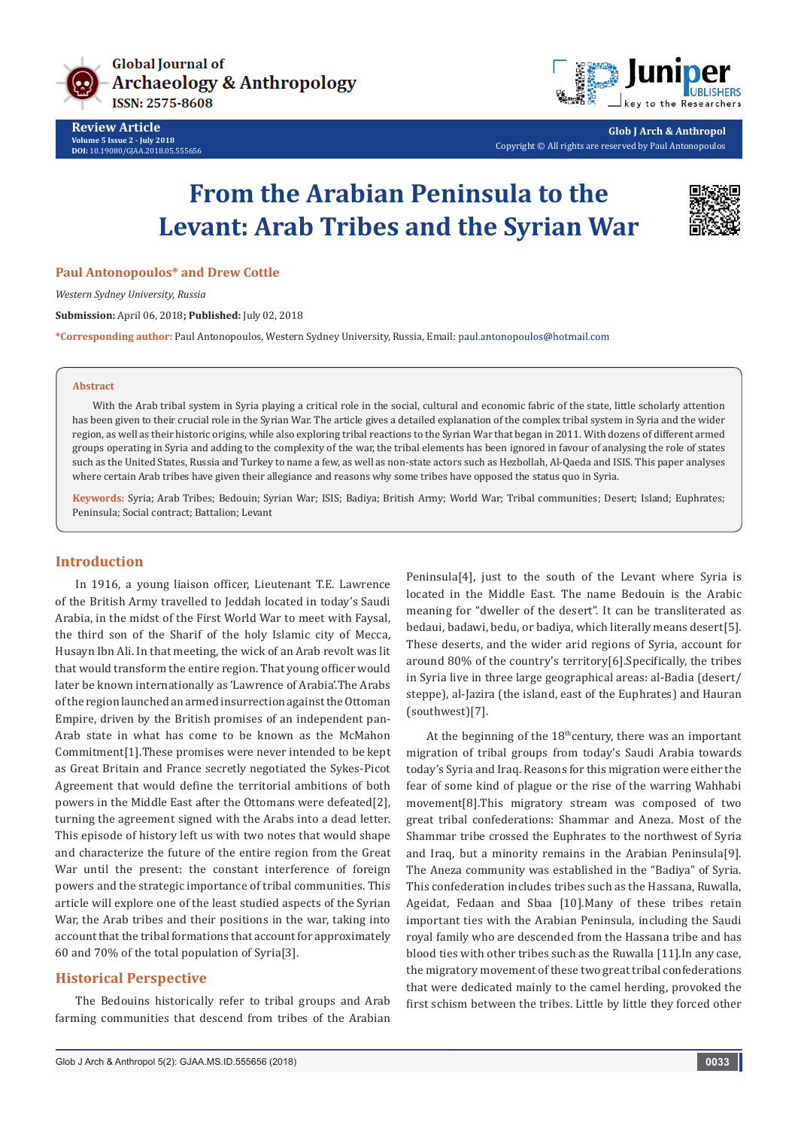



**Glob J Arch & Anthropol** Copyright © All rights are reserved by Paul Antonopoulos

# **From the Arabian Peninsula to the Levant: Arab Tribes and the Syrian War**



#### **Paul Antonopoulos\* and Drew Cottle**

*Western Sydney University, Russia*

**Submission:** April 06, 2018**; Published:** July 02, 2018

**\*Corresponding author:** Paul Antonopoulos, Western Sydney University, Russia, Email:

#### **Abstract**

With the Arab tribal system in Syria playing a critical role in the social, cultural and economic fabric of the state, little scholarly attention has been given to their crucial role in the Syrian War. The article gives a detailed explanation of the complex tribal system in Syria and the wider region, as well as their historic origins, while also exploring tribal reactions to the Syrian War that began in 2011. With dozens of different armed groups operating in Syria and adding to the complexity of the war, the tribal elements has been ignored in favour of analysing the role of states such as the United States, Russia and Turkey to name a few, as well as non-state actors such as Hezbollah, Al-Qaeda and ISIS. This paper analyses where certain Arab tribes have given their allegiance and reasons why some tribes have opposed the status quo in Syria.

**Keywords:** Syria; Arab Tribes; Bedouin; Syrian War; ISIS; Badiya; British Army; World War; Tribal communities; Desert; Island; Euphrates; Peninsula; Social contract; Battalion; Levant

#### **Introduction**

In 1916, a young liaison officer, Lieutenant T.E. Lawrence of the British Army travelled to Jeddah located in today's Saudi Arabia, in the midst of the First World War to meet with Faysal, the third son of the Sharif of the holy Islamic city of Mecca, Husayn Ibn Ali. In that meeting, the wick of an Arab revolt was lit that would transform the entire region. That young officer would later be known internationally as 'Lawrence of Arabia'.The Arabs of the region launched an armed insurrection against the Ottoman Empire, driven by the British promises of an independent pan-Arab state in what has come to be known as the McMahon Commitment[1].These promises were never intended to be kept as Great Britain and France secretly negotiated the Sykes-Picot Agreement that would define the territorial ambitions of both powers in the Middle East after the Ottomans were defeated[2], turning the agreement signed with the Arabs into a dead letter. This episode of history left us with two notes that would shape and characterize the future of the entire region from the Great War until the present: the constant interference of foreign powers and the strategic importance of tribal communities. This article will explore one of the least studied aspects of the Syrian War, the Arab tribes and their positions in the war, taking into account that the tribal formations that account for approximately 60 and 70% of the total population of Syria[3].

## **Historical Perspective**

The Bedouins historically refer to tribal groups and Arab farming communities that descend from tribes of the Arabian Peninsula[4], just to the south of the Levant where Syria is located in the Middle East. The name Bedouin is the Arabic meaning for "dweller of the desert". It can be transliterated as bedaui, badawi, bedu, or badiya, which literally means desert[5]. These deserts, and the wider arid regions of Syria, account for around 80% of the country's territory[6].Specifically, the tribes in Syria live in three large geographical areas: al-Badia (desert/ steppe), al-Jazira (the island, east of the Euphrates) and Hauran (southwest)[7].

At the beginning of the  $18<sup>th</sup>$ century, there was an important migration of tribal groups from today's Saudi Arabia towards today's Syria and Iraq. Reasons for this migration were either the fear of some kind of plague or the rise of the warring Wahhabi movement[8].This migratory stream was composed of two great tribal confederations: Shammar and Aneza. Most of the Shammar tribe crossed the Euphrates to the northwest of Syria and Iraq, but a minority remains in the Arabian Peninsula[9]. The Aneza community was established in the "Badiya" of Syria. This confederation includes tribes such as the Hassana, Ruwalla, Ageidat, Fedaan and Sbaa [10].Many of these tribes retain important ties with the Arabian Peninsula, including the Saudi royal family who are descended from the Hassana tribe and has blood ties with other tribes such as the Ruwalla [11].In any case, the migratory movement of these two great tribal confederations that were dedicated mainly to the camel herding, provoked the first schism between the tribes. Little by little they forced other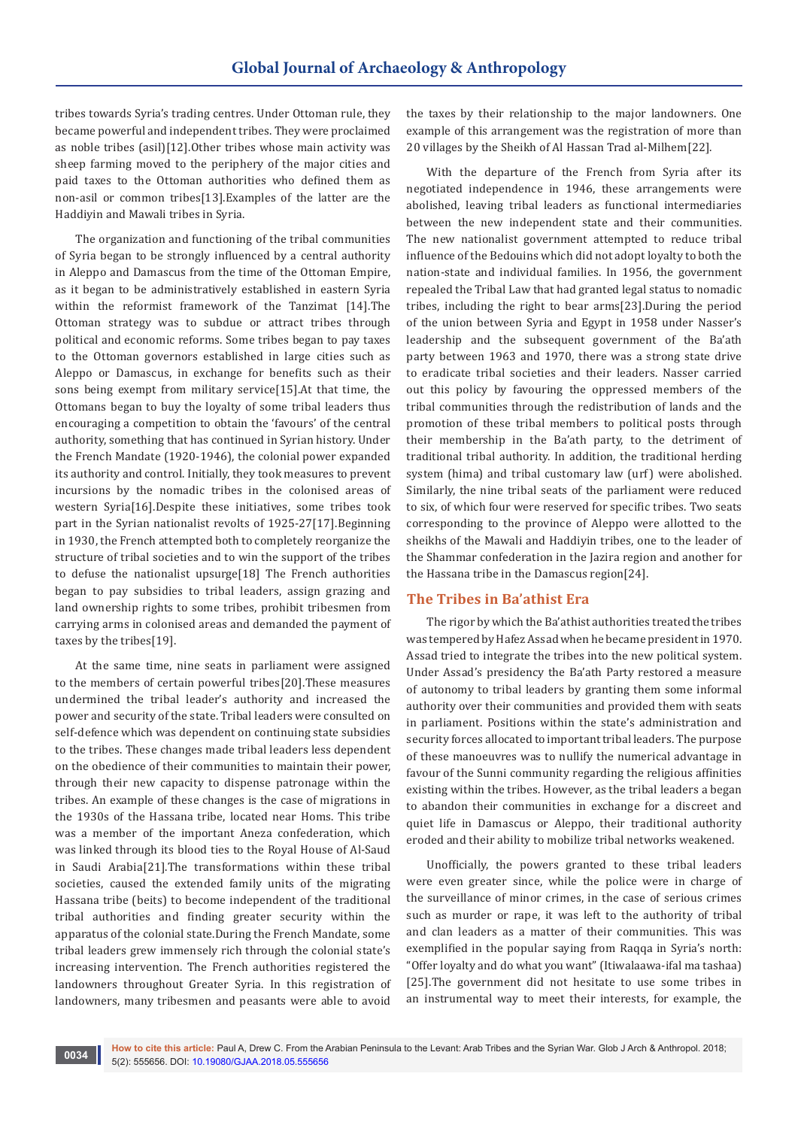tribes towards Syria's trading centres. Under Ottoman rule, they became powerful and independent tribes. They were proclaimed as noble tribes (asil)[12].Other tribes whose main activity was sheep farming moved to the periphery of the major cities and paid taxes to the Ottoman authorities who defined them as non-asil or common tribes[13].Examples of the latter are the Haddiyin and Mawali tribes in Syria.

The organization and functioning of the tribal communities of Syria began to be strongly influenced by a central authority in Aleppo and Damascus from the time of the Ottoman Empire, as it began to be administratively established in eastern Syria within the reformist framework of the Tanzimat [14].The Ottoman strategy was to subdue or attract tribes through political and economic reforms. Some tribes began to pay taxes to the Ottoman governors established in large cities such as Aleppo or Damascus, in exchange for benefits such as their sons being exempt from military service[15].At that time, the Ottomans began to buy the loyalty of some tribal leaders thus encouraging a competition to obtain the 'favours' of the central authority, something that has continued in Syrian history. Under the French Mandate (1920-1946), the colonial power expanded its authority and control. Initially, they took measures to prevent incursions by the nomadic tribes in the colonised areas of western Syria[16].Despite these initiatives, some tribes took part in the Syrian nationalist revolts of 1925-27[17].Beginning in 1930, the French attempted both to completely reorganize the structure of tribal societies and to win the support of the tribes to defuse the nationalist upsurge[18] The French authorities began to pay subsidies to tribal leaders, assign grazing and land ownership rights to some tribes, prohibit tribesmen from carrying arms in colonised areas and demanded the payment of taxes by the tribes[19].

At the same time, nine seats in parliament were assigned to the members of certain powerful tribes[20].These measures undermined the tribal leader's authority and increased the power and security of the state. Tribal leaders were consulted on self-defence which was dependent on continuing state subsidies to the tribes. These changes made tribal leaders less dependent on the obedience of their communities to maintain their power, through their new capacity to dispense patronage within the tribes. An example of these changes is the case of migrations in the 1930s of the Hassana tribe, located near Homs. This tribe was a member of the important Aneza confederation, which was linked through its blood ties to the Royal House of Al-Saud in Saudi Arabia[21].The transformations within these tribal societies, caused the extended family units of the migrating Hassana tribe (beits) to become independent of the traditional tribal authorities and finding greater security within the apparatus of the colonial state.During the French Mandate, some tribal leaders grew immensely rich through the colonial state's increasing intervention. The French authorities registered the landowners throughout Greater Syria. In this registration of landowners, many tribesmen and peasants were able to avoid

the taxes by their relationship to the major landowners. One example of this arrangement was the registration of more than 20 villages by the Sheikh of Al Hassan Trad al-Milhem[22].

With the departure of the French from Syria after its negotiated independence in 1946, these arrangements were abolished, leaving tribal leaders as functional intermediaries between the new independent state and their communities. The new nationalist government attempted to reduce tribal influence of the Bedouins which did not adopt loyalty to both the nation-state and individual families. In 1956, the government repealed the Tribal Law that had granted legal status to nomadic tribes, including the right to bear arms[23].During the period of the union between Syria and Egypt in 1958 under Nasser's leadership and the subsequent government of the Ba'ath party between 1963 and 1970, there was a strong state drive to eradicate tribal societies and their leaders. Nasser carried out this policy by favouring the oppressed members of the tribal communities through the redistribution of lands and the promotion of these tribal members to political posts through their membership in the Ba'ath party, to the detriment of traditional tribal authority. In addition, the traditional herding system (hima) and tribal customary law (urf) were abolished. Similarly, the nine tribal seats of the parliament were reduced to six, of which four were reserved for specific tribes. Two seats corresponding to the province of Aleppo were allotted to the sheikhs of the Mawali and Haddiyin tribes, one to the leader of the Shammar confederation in the Jazira region and another for the Hassana tribe in the Damascus region[24].

#### **The Tribes in Ba'athist Era**

The rigor by which the Ba'athist authorities treated the tribes was tempered by Hafez Assad when he became president in 1970. Assad tried to integrate the tribes into the new political system. Under Assad's presidency the Ba'ath Party restored a measure of autonomy to tribal leaders by granting them some informal authority over their communities and provided them with seats in parliament. Positions within the state's administration and security forces allocated to important tribal leaders. The purpose of these manoeuvres was to nullify the numerical advantage in favour of the Sunni community regarding the religious affinities existing within the tribes. However, as the tribal leaders a began to abandon their communities in exchange for a discreet and quiet life in Damascus or Aleppo, their traditional authority eroded and their ability to mobilize tribal networks weakened.

Unofficially, the powers granted to these tribal leaders were even greater since, while the police were in charge of the surveillance of minor crimes, in the case of serious crimes such as murder or rape, it was left to the authority of tribal and clan leaders as a matter of their communities. This was exemplified in the popular saying from Raqqa in Syria's north: "Offer loyalty and do what you want" (Itiwalaawa-ifal ma tashaa) [25].The government did not hesitate to use some tribes in an instrumental way to meet their interests, for example, the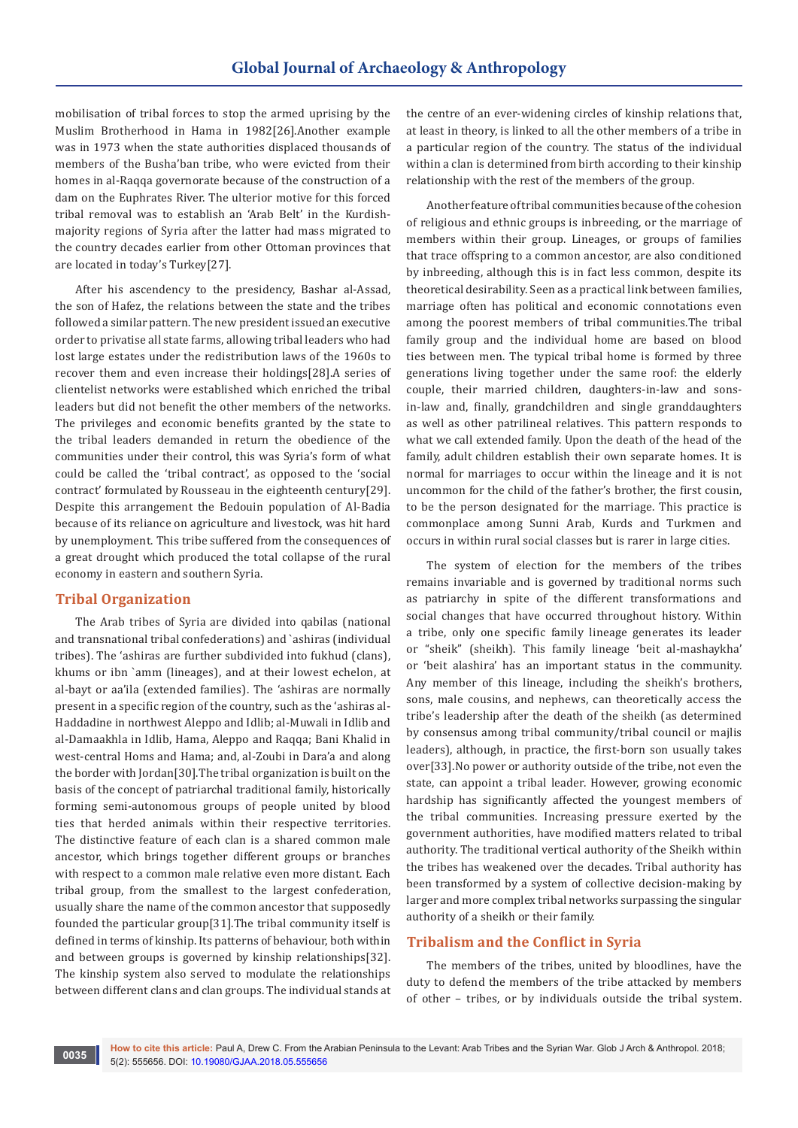mobilisation of tribal forces to stop the armed uprising by the Muslim Brotherhood in Hama in 1982[26].Another example was in 1973 when the state authorities displaced thousands of members of the Busha'ban tribe, who were evicted from their homes in al-Raqqa governorate because of the construction of a dam on the Euphrates River. The ulterior motive for this forced tribal removal was to establish an 'Arab Belt' in the Kurdishmajority regions of Syria after the latter had mass migrated to the country decades earlier from other Ottoman provinces that are located in today's Turkey[27].

After his ascendency to the presidency, Bashar al-Assad, the son of Hafez, the relations between the state and the tribes followed a similar pattern. The new president issued an executive order to privatise all state farms, allowing tribal leaders who had lost large estates under the redistribution laws of the 1960s to recover them and even increase their holdings[28].A series of clientelist networks were established which enriched the tribal leaders but did not benefit the other members of the networks. The privileges and economic benefits granted by the state to the tribal leaders demanded in return the obedience of the communities under their control, this was Syria's form of what could be called the 'tribal contract', as opposed to the 'social contract' formulated by Rousseau in the eighteenth century[29]. Despite this arrangement the Bedouin population of Al-Badia because of its reliance on agriculture and livestock, was hit hard by unemployment. This tribe suffered from the consequences of a great drought which produced the total collapse of the rural economy in eastern and southern Syria.

## **Tribal Organization**

The Arab tribes of Syria are divided into qabilas (national and transnational tribal confederations) and `ashiras (individual tribes). The 'ashiras are further subdivided into fukhud (clans), khums or ibn `amm (lineages), and at their lowest echelon, at al-bayt or aa'ila (extended families). The 'ashiras are normally present in a specific region of the country, such as the 'ashiras al-Haddadine in northwest Aleppo and Idlib; al-Muwali in Idlib and al-Damaakhla in Idlib, Hama, Aleppo and Raqqa; Bani Khalid in west-central Homs and Hama; and, al-Zoubi in Dara'a and along the border with Jordan[30].The tribal organization is built on the basis of the concept of patriarchal traditional family, historically forming semi-autonomous groups of people united by blood ties that herded animals within their respective territories. The distinctive feature of each clan is a shared common male ancestor, which brings together different groups or branches with respect to a common male relative even more distant. Each tribal group, from the smallest to the largest confederation, usually share the name of the common ancestor that supposedly founded the particular group[31].The tribal community itself is defined in terms of kinship. Its patterns of behaviour, both within and between groups is governed by kinship relationships[32]. The kinship system also served to modulate the relationships between different clans and clan groups. The individual stands at the centre of an ever-widening circles of kinship relations that, at least in theory, is linked to all the other members of a tribe in a particular region of the country. The status of the individual within a clan is determined from birth according to their kinship relationship with the rest of the members of the group.

Another feature of tribal communities because of the cohesion of religious and ethnic groups is inbreeding, or the marriage of members within their group. Lineages, or groups of families that trace offspring to a common ancestor, are also conditioned by inbreeding, although this is in fact less common, despite its theoretical desirability. Seen as a practical link between families, marriage often has political and economic connotations even among the poorest members of tribal communities.The tribal family group and the individual home are based on blood ties between men. The typical tribal home is formed by three generations living together under the same roof: the elderly couple, their married children, daughters-in-law and sonsin-law and, finally, grandchildren and single granddaughters as well as other patrilineal relatives. This pattern responds to what we call extended family. Upon the death of the head of the family, adult children establish their own separate homes. It is normal for marriages to occur within the lineage and it is not uncommon for the child of the father's brother, the first cousin, to be the person designated for the marriage. This practice is commonplace among Sunni Arab, Kurds and Turkmen and occurs in within rural social classes but is rarer in large cities.

The system of election for the members of the tribes remains invariable and is governed by traditional norms such as patriarchy in spite of the different transformations and social changes that have occurred throughout history. Within a tribe, only one specific family lineage generates its leader or "sheik" (sheikh). This family lineage 'beit al-mashaykha' or 'beit alashira' has an important status in the community. Any member of this lineage, including the sheikh's brothers, sons, male cousins, and nephews, can theoretically access the tribe's leadership after the death of the sheikh (as determined by consensus among tribal community/tribal council or majlis leaders), although, in practice, the first-born son usually takes over[33].No power or authority outside of the tribe, not even the state, can appoint a tribal leader. However, growing economic hardship has significantly affected the youngest members of the tribal communities. Increasing pressure exerted by the government authorities, have modified matters related to tribal authority. The traditional vertical authority of the Sheikh within the tribes has weakened over the decades. Tribal authority has been transformed by a system of collective decision-making by larger and more complex tribal networks surpassing the singular authority of a sheikh or their family.

#### **Tribalism and the Conflict in Syria**

The members of the tribes, united by bloodlines, have the duty to defend the members of the tribe attacked by members of other – tribes, or by individuals outside the tribal system.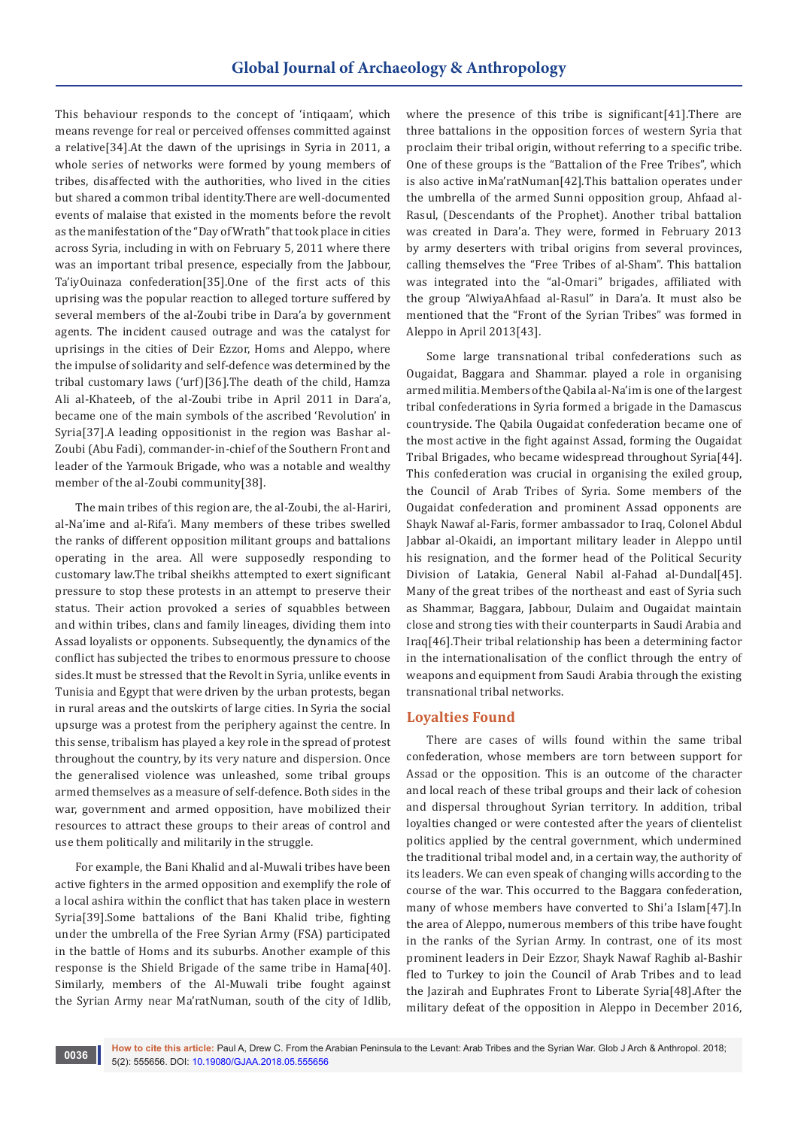This behaviour responds to the concept of 'intiqaam', which means revenge for real or perceived offenses committed against a relative[34].At the dawn of the uprisings in Syria in 2011, a whole series of networks were formed by young members of tribes, disaffected with the authorities, who lived in the cities but shared a common tribal identity.There are well-documented events of malaise that existed in the moments before the revolt as the manifestation of the "Day of Wrath" that took place in cities across Syria, including in with on February 5, 2011 where there was an important tribal presence, especially from the Jabbour, Ta'iyOuinaza confederation[35].One of the first acts of this uprising was the popular reaction to alleged torture suffered by several members of the al-Zoubi tribe in Dara'a by government agents. The incident caused outrage and was the catalyst for uprisings in the cities of Deir Ezzor, Homs and Aleppo, where the impulse of solidarity and self-defence was determined by the tribal customary laws ('urf)[36].The death of the child, Hamza Ali al-Khateeb, of the al-Zoubi tribe in April 2011 in Dara'a, became one of the main symbols of the ascribed 'Revolution' in Syria[37].A leading oppositionist in the region was Bashar al-Zoubi (Abu Fadi), commander-in-chief of the Southern Front and leader of the Yarmouk Brigade, who was a notable and wealthy member of the al-Zoubi community[38].

The main tribes of this region are, the al-Zoubi, the al-Hariri, al-Na'ime and al-Rifa'i. Many members of these tribes swelled the ranks of different opposition militant groups and battalions operating in the area. All were supposedly responding to customary law.The tribal sheikhs attempted to exert significant pressure to stop these protests in an attempt to preserve their status. Their action provoked a series of squabbles between and within tribes, clans and family lineages, dividing them into Assad loyalists or opponents. Subsequently, the dynamics of the conflict has subjected the tribes to enormous pressure to choose sides.It must be stressed that the Revolt in Syria, unlike events in Tunisia and Egypt that were driven by the urban protests, began in rural areas and the outskirts of large cities. In Syria the social upsurge was a protest from the periphery against the centre. In this sense, tribalism has played a key role in the spread of protest throughout the country, by its very nature and dispersion. Once the generalised violence was unleashed, some tribal groups armed themselves as a measure of self-defence. Both sides in the war, government and armed opposition, have mobilized their resources to attract these groups to their areas of control and use them politically and militarily in the struggle.

For example, the Bani Khalid and al-Muwali tribes have been active fighters in the armed opposition and exemplify the role of a local ashira within the conflict that has taken place in western Syria[39].Some battalions of the Bani Khalid tribe, fighting under the umbrella of the Free Syrian Army (FSA) participated in the battle of Homs and its suburbs. Another example of this response is the Shield Brigade of the same tribe in Hama[40]. Similarly, members of the Al-Muwali tribe fought against the Syrian Army near Ma'ratNuman, south of the city of Idlib,

where the presence of this tribe is significant[41].There are three battalions in the opposition forces of western Syria that proclaim their tribal origin, without referring to a specific tribe. One of these groups is the "Battalion of the Free Tribes", which is also active inMa'ratNuman[42].This battalion operates under the umbrella of the armed Sunni opposition group, Ahfaad al-Rasul, (Descendants of the Prophet). Another tribal battalion was created in Dara'a. They were, formed in February 2013 by army deserters with tribal origins from several provinces, calling themselves the "Free Tribes of al-Sham". This battalion was integrated into the "al-Omari" brigades, affiliated with the group "AlwiyaAhfaad al-Rasul" in Dara'a. It must also be mentioned that the "Front of the Syrian Tribes" was formed in Aleppo in April 2013[43].

Some large transnational tribal confederations such as Ougaidat, Baggara and Shammar. played a role in organising armed militia. Members of the Qabila al-Na'im is one of the largest tribal confederations in Syria formed a brigade in the Damascus countryside. The Qabila Ougaidat confederation became one of the most active in the fight against Assad, forming the Ougaidat Tribal Brigades, who became widespread throughout Syria[44]. This confederation was crucial in organising the exiled group, the Council of Arab Tribes of Syria. Some members of the Ougaidat confederation and prominent Assad opponents are Shayk Nawaf al-Faris, former ambassador to Iraq, Colonel Abdul Jabbar al-Okaidi, an important military leader in Aleppo until his resignation, and the former head of the Political Security Division of Latakia, General Nabil al-Fahad al-Dundal[45]. Many of the great tribes of the northeast and east of Syria such as Shammar, Baggara, Jabbour, Dulaim and Ougaidat maintain close and strong ties with their counterparts in Saudi Arabia and Iraq[46].Their tribal relationship has been a determining factor in the internationalisation of the conflict through the entry of weapons and equipment from Saudi Arabia through the existing transnational tribal networks.

#### **Loyalties Found**

There are cases of wills found within the same tribal confederation, whose members are torn between support for Assad or the opposition. This is an outcome of the character and local reach of these tribal groups and their lack of cohesion and dispersal throughout Syrian territory. In addition, tribal loyalties changed or were contested after the years of clientelist politics applied by the central government, which undermined the traditional tribal model and, in a certain way, the authority of its leaders. We can even speak of changing wills according to the course of the war. This occurred to the Baggara confederation, many of whose members have converted to Shi'a Islam[47].In the area of Aleppo, numerous members of this tribe have fought in the ranks of the Syrian Army. In contrast, one of its most prominent leaders in Deir Ezzor, Shayk Nawaf Raghib al-Bashir fled to Turkey to join the Council of Arab Tribes and to lead the Jazirah and Euphrates Front to Liberate Syria[48].After the military defeat of the opposition in Aleppo in December 2016,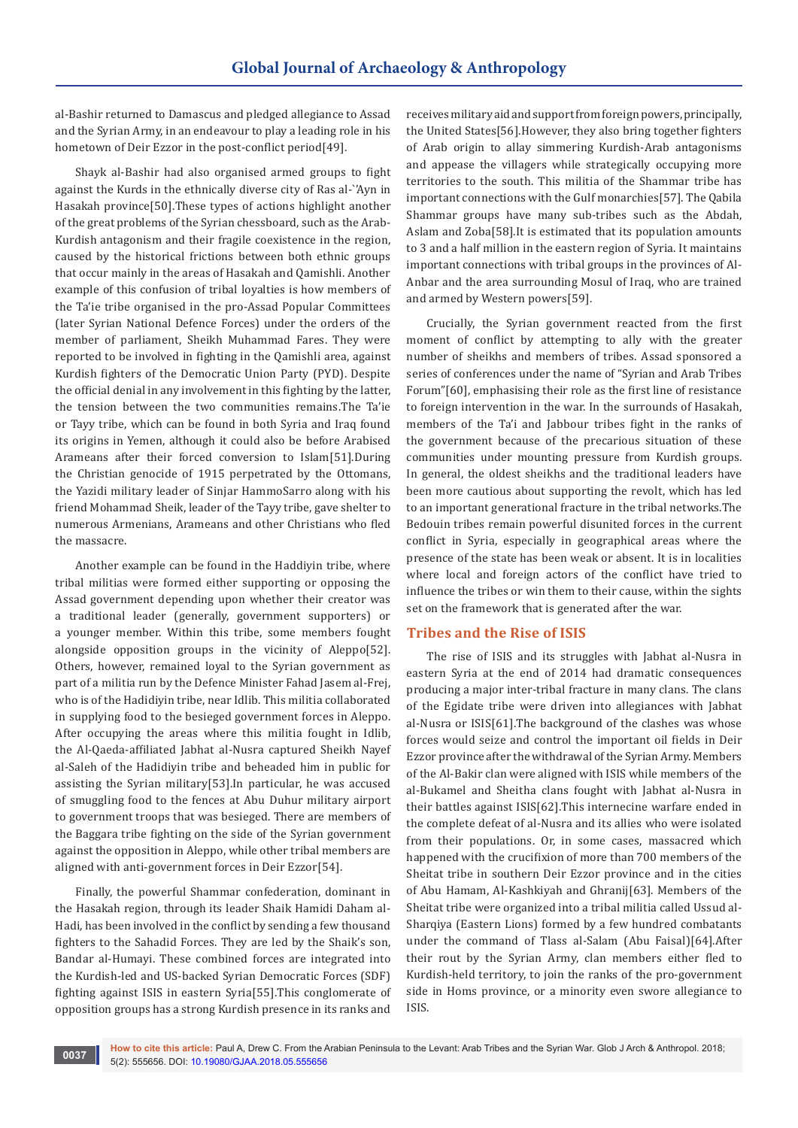al-Bashir returned to Damascus and pledged allegiance to Assad and the Syrian Army, in an endeavour to play a leading role in his hometown of Deir Ezzor in the post-conflict period[49].

Shayk al-Bashir had also organised armed groups to fight against the Kurds in the ethnically diverse city of Ras al-`'Ayn in Hasakah province[50].These types of actions highlight another of the great problems of the Syrian chessboard, such as the Arab-Kurdish antagonism and their fragile coexistence in the region, caused by the historical frictions between both ethnic groups that occur mainly in the areas of Hasakah and Qamishli. Another example of this confusion of tribal loyalties is how members of the Ta'ie tribe organised in the pro-Assad Popular Committees (later Syrian National Defence Forces) under the orders of the member of parliament, Sheikh Muhammad Fares. They were reported to be involved in fighting in the Qamishli area, against Kurdish fighters of the Democratic Union Party (PYD). Despite the official denial in any involvement in this fighting by the latter, the tension between the two communities remains.The Ta'ie or Tayy tribe, which can be found in both Syria and Iraq found its origins in Yemen, although it could also be before Arabised Arameans after their forced conversion to Islam[51].During the Christian genocide of 1915 perpetrated by the Ottomans, the Yazidi military leader of Sinjar HammoSarro along with his friend Mohammad Sheik, leader of the Tayy tribe, gave shelter to numerous Armenians, Arameans and other Christians who fled the massacre.

Another example can be found in the Haddiyin tribe, where tribal militias were formed either supporting or opposing the Assad government depending upon whether their creator was a traditional leader (generally, government supporters) or a younger member. Within this tribe, some members fought alongside opposition groups in the vicinity of Aleppo[52]. Others, however, remained loyal to the Syrian government as part of a militia run by the Defence Minister Fahad Jasem al-Frej, who is of the Hadidiyin tribe, near Idlib. This militia collaborated in supplying food to the besieged government forces in Aleppo. After occupying the areas where this militia fought in Idlib, the Al-Qaeda-affiliated Jabhat al-Nusra captured Sheikh Nayef al-Saleh of the Hadidiyin tribe and beheaded him in public for assisting the Syrian military[53].In particular, he was accused of smuggling food to the fences at Abu Duhur military airport to government troops that was besieged. There are members of the Baggara tribe fighting on the side of the Syrian government against the opposition in Aleppo, while other tribal members are aligned with anti-government forces in Deir Ezzor[54].

Finally, the powerful Shammar confederation, dominant in the Hasakah region, through its leader Shaik Hamidi Daham al-Hadi, has been involved in the conflict by sending a few thousand fighters to the Sahadid Forces. They are led by the Shaik's son, Bandar al-Humayi. These combined forces are integrated into the Kurdish-led and US-backed Syrian Democratic Forces (SDF) fighting against ISIS in eastern Syria[55].This conglomerate of opposition groups has a strong Kurdish presence in its ranks and

receives military aid and support from foreign powers, principally, the United States[56].However, they also bring together fighters of Arab origin to allay simmering Kurdish-Arab antagonisms and appease the villagers while strategically occupying more territories to the south. This militia of the Shammar tribe has important connections with the Gulf monarchies[57]. The Qabila Shammar groups have many sub-tribes such as the Abdah, Aslam and Zoba[58].It is estimated that its population amounts to 3 and a half million in the eastern region of Syria. It maintains important connections with tribal groups in the provinces of Al-Anbar and the area surrounding Mosul of Iraq, who are trained and armed by Western powers[59].

Crucially, the Syrian government reacted from the first moment of conflict by attempting to ally with the greater number of sheikhs and members of tribes. Assad sponsored a series of conferences under the name of "Syrian and Arab Tribes Forum"[60], emphasising their role as the first line of resistance to foreign intervention in the war. In the surrounds of Hasakah, members of the Ta'i and Jabbour tribes fight in the ranks of the government because of the precarious situation of these communities under mounting pressure from Kurdish groups. In general, the oldest sheikhs and the traditional leaders have been more cautious about supporting the revolt, which has led to an important generational fracture in the tribal networks.The Bedouin tribes remain powerful disunited forces in the current conflict in Syria, especially in geographical areas where the presence of the state has been weak or absent. It is in localities where local and foreign actors of the conflict have tried to influence the tribes or win them to their cause, within the sights set on the framework that is generated after the war.

## **Tribes and the Rise of ISIS**

The rise of ISIS and its struggles with Jabhat al-Nusra in eastern Syria at the end of 2014 had dramatic consequences producing a major inter-tribal fracture in many clans. The clans of the Egidate tribe were driven into allegiances with Jabhat al-Nusra or ISIS[61].The background of the clashes was whose forces would seize and control the important oil fields in Deir Ezzor province after the withdrawal of the Syrian Army. Members of the Al-Bakir clan were aligned with ISIS while members of the al-Bukamel and Sheitha clans fought with Jabhat al-Nusra in their battles against ISIS[62].This internecine warfare ended in the complete defeat of al-Nusra and its allies who were isolated from their populations. Or, in some cases, massacred which happened with the crucifixion of more than 700 members of the Sheitat tribe in southern Deir Ezzor province and in the cities of Abu Hamam, Al-Kashkiyah and Ghranij[63]. Members of the Sheitat tribe were organized into a tribal militia called Ussud al-Sharqiya (Eastern Lions) formed by a few hundred combatants under the command of Tlass al-Salam (Abu Faisal)[64].After their rout by the Syrian Army, clan members either fled to Kurdish-held territory, to join the ranks of the pro-government side in Homs province, or a minority even swore allegiance to ISIS.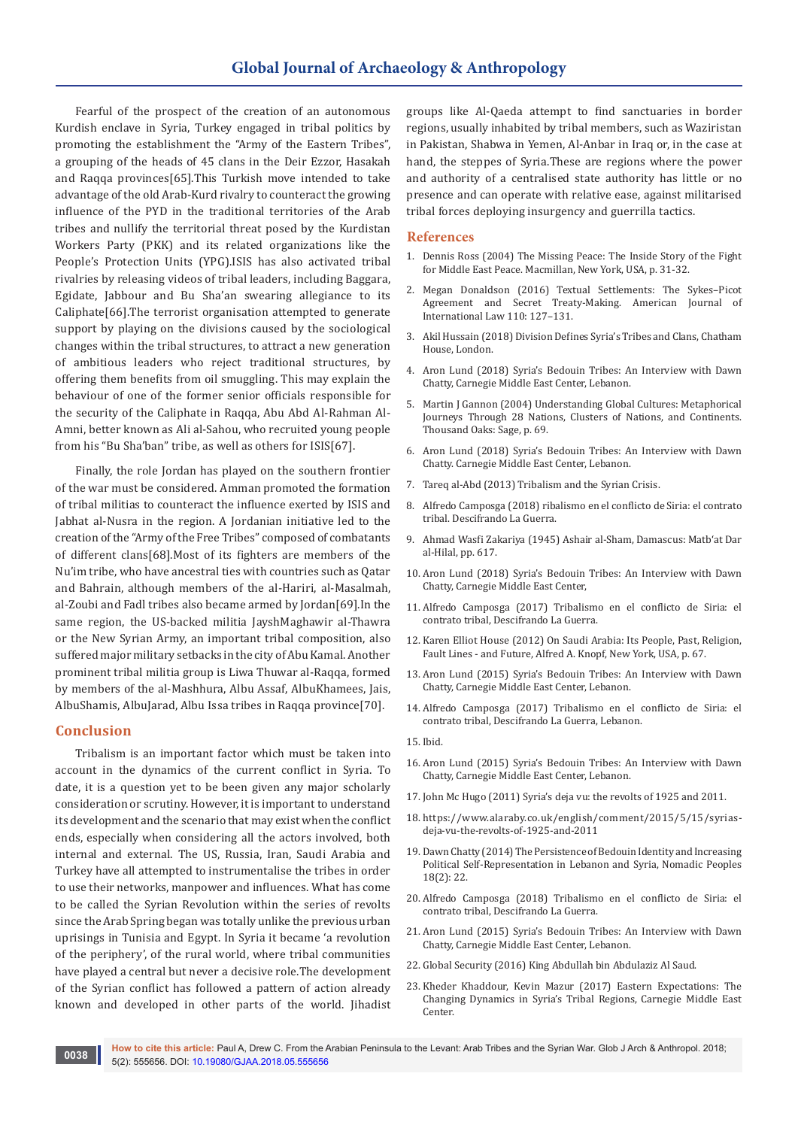# **Global Journal of Archaeology & Anthropology**

Fearful of the prospect of the creation of an autonomous Kurdish enclave in Syria, Turkey engaged in tribal politics by promoting the establishment the "Army of the Eastern Tribes", a grouping of the heads of 45 clans in the Deir Ezzor, Hasakah and Raqqa provinces[65].This Turkish move intended to take advantage of the old Arab-Kurd rivalry to counteract the growing influence of the PYD in the traditional territories of the Arab tribes and nullify the territorial threat posed by the Kurdistan Workers Party (PKK) and its related organizations like the People's Protection Units (YPG).ISIS has also activated tribal rivalries by releasing videos of tribal leaders, including Baggara, Egidate, Jabbour and Bu Sha'an swearing allegiance to its Caliphate[66].The terrorist organisation attempted to generate support by playing on the divisions caused by the sociological changes within the tribal structures, to attract a new generation of ambitious leaders who reject traditional structures, by offering them benefits from oil smuggling. This may explain the behaviour of one of the former senior officials responsible for the security of the Caliphate in Raqqa, Abu Abd Al-Rahman Al-Amni, better known as Ali al-Sahou, who recruited young people from his "Bu Sha'ban" tribe, as well as others for ISIS[67].

Finally, the role Jordan has played on the southern frontier of the war must be considered. Amman promoted the formation of tribal militias to counteract the influence exerted by ISIS and Jabhat al-Nusra in the region. A Jordanian initiative led to the creation of the "Army of the Free Tribes" composed of combatants of different clans[68].Most of its fighters are members of the Nu'im tribe, who have ancestral ties with countries such as Qatar and Bahrain, although members of the al-Hariri, al-Masalmah, al-Zoubi and Fadl tribes also became armed by Jordan[69].In the same region, the US-backed militia JayshMaghawir al-Thawra or the New Syrian Army, an important tribal composition, also suffered major military setbacks in the city of Abu Kamal. Another prominent tribal militia group is Liwa Thuwar al-Raqqa, formed by members of the al-Mashhura, Albu Assaf, AlbuKhamees, Jais, AlbuShamis, AlbuJarad, Albu Issa tribes in Raqqa province[70].

## **Conclusion**

Tribalism is an important factor which must be taken into account in the dynamics of the current conflict in Syria. To date, it is a question yet to be been given any major scholarly consideration or scrutiny. However, it is important to understand its development and the scenario that may exist when the conflict ends, especially when considering all the actors involved, both internal and external. The US, Russia, Iran, Saudi Arabia and Turkey have all attempted to instrumentalise the tribes in order to use their networks, manpower and influences. What has come to be called the Syrian Revolution within the series of revolts since the Arab Spring began was totally unlike the previous urban uprisings in Tunisia and Egypt. In Syria it became 'a revolution of the periphery', of the rural world, where tribal communities have played a central but never a decisive role.The development of the Syrian conflict has followed a pattern of action already known and developed in other parts of the world. Jihadist

groups like Al-Qaeda attempt to find sanctuaries in border regions, usually inhabited by tribal members, such as Waziristan in Pakistan, Shabwa in Yemen, Al-Anbar in Iraq or, in the case at hand, the steppes of Syria.These are regions where the power and authority of a centralised state authority has little or no presence and can operate with relative ease, against militarised tribal forces deploying insurgency and guerrilla tactics.

#### **References**

- 1. Dennis Ross (2004) The Missing Peace: The Inside Story of the Fight for Middle East Peace. Macmillan, New York, USA, p. 31-32.
- 2. Megan Donaldson (2016) Textual Settlements: The Sykes–Picot Agreement and Secret Treaty-Making. American Journal of International Law 110: 127–131.
- 3. Akil Hussain (2018) Division Defines Syria's Tribes and Clans, Chatham House, London.
- 4. Aron Lund (2018) Syria's Bedouin Tribes: An Interview with Dawn Chatty, Carnegie Middle East Center, Lebanon.
- 5. Martin J Gannon (2004) Understanding Global Cultures: Metaphorical Journeys Through 28 Nations, Clusters of Nations, and Continents. Thousand Oaks: Sage, p. 69.
- 6. Aron Lund (2018) Syria's Bedouin Tribes: An Interview with Dawn Chatty. Carnegie Middle East Center, Lebanon.
- 7. Tareq al-Abd (2013) Tribalism and the Syrian Crisis.
- 8. Alfredo Camposga (2018) ribalismo en el conflicto de Siria: el contrato tribal. Descifrando La Guerra.
- 9. Ahmad Wasfi Zakariya (1945) Ashair al-Sham, Damascus: Matb'at Dar al-Hilal, pp. 617.
- 10. Aron Lund (2018) Syria's Bedouin Tribes: An Interview with Dawn Chatty, Carnegie Middle East Center,
- 11. Alfredo Camposga (2017) Tribalismo en el conflicto de Siria: el contrato tribal, Descifrando La Guerra.
- 12. Karen Elliot House (2012) On Saudi Arabia: Its People, Past, Religion, Fault Lines - and Future, Alfred A. Knopf, New York, USA, p. 67.
- 13. Aron Lund (2015) Syria's Bedouin Tribes: An Interview with Dawn Chatty, Carnegie Middle East Center, Lebanon.
- 14. Alfredo Camposga (2017) Tribalismo en el conflicto de Siria: el contrato tribal, Descifrando La Guerra, Lebanon.
- 15. Ibid.
- 16. Aron Lund (2015) Syria's Bedouin Tribes: An Interview with Dawn Chatty, Carnegie Middle East Center, Lebanon.
- 17. John Mc Hugo (2011) Syria's deja vu: the revolts of 1925 and 2011.
- 18. [https://www.alaraby.co.uk/english/comment/2015/5/15/syrias](https://www.alaraby.co.uk/english/comment/2015/5/15/syrias-deja-vu-the-revolts-of-1925-and-2011)[deja-vu-the-revolts-of-1925-and-2011](https://www.alaraby.co.uk/english/comment/2015/5/15/syrias-deja-vu-the-revolts-of-1925-and-2011)
- 19. Dawn Chatty (2014) The Persistence of Bedouin Identity and Increasing Political Self-Representation in Lebanon and Syria, Nomadic Peoples 18(2): 22.
- 20. Alfredo Camposga (2018) Tribalismo en el conflicto de Siria: el contrato tribal, Descifrando La Guerra.
- 21. Aron Lund (2015) Syria's Bedouin Tribes: An Interview with Dawn Chatty, Carnegie Middle East Center, Lebanon.
- 22. Global Security (2016) King Abdullah bin Abdulaziz Al Saud.
- 23. Kheder Khaddour, Kevin Mazur (2017) Eastern Expectations: The Changing Dynamics in Syria's Tribal Regions, Carnegie Middle East Center.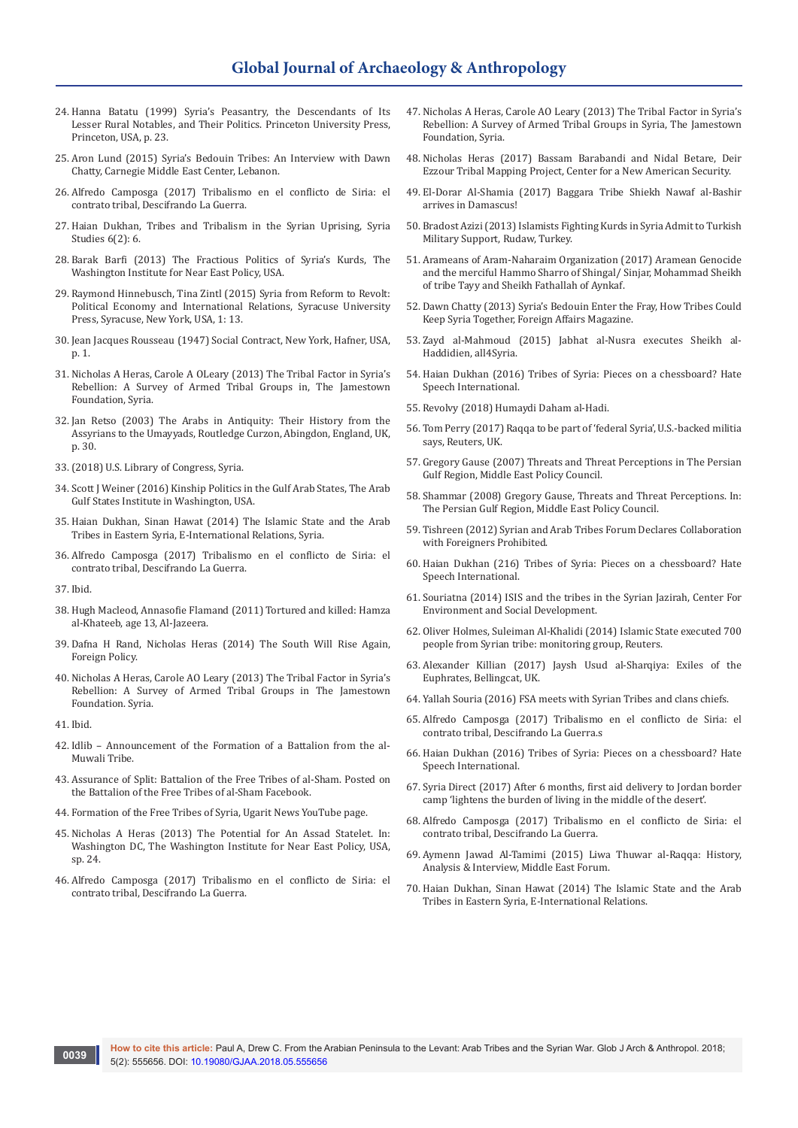- 24. Hanna Batatu (1999) Syria's Peasantry, the Descendants of Its Lesser Rural Notables, and Their Politics. Princeton University Press, Princeton, USA, p. 23.
- 25. Aron Lund (2015) Syria's Bedouin Tribes: An Interview with Dawn Chatty, Carnegie Middle East Center, Lebanon.
- 26. Alfredo Camposga (2017) Tribalismo en el conflicto de Siria: el contrato tribal, Descifrando La Guerra.
- 27. Haian Dukhan, Tribes and Tribalism in the Syrian Uprising, Syria Studies 6(2): 6.
- 28. Barak Barfi (2013) The Fractious Politics of Syria's Kurds, The Washington Institute for Near East Policy, USA.
- 29. Raymond Hinnebusch, Tina Zintl (2015) Syria from Reform to Revolt: Political Economy and International Relations, Syracuse University Press, Syracuse, New York, USA, 1: 13.
- 30. Jean Jacques Rousseau (1947) Social Contract, New York, Hafner, USA, p. 1.
- 31. Nicholas A Heras, Carole A OLeary (2013) The Tribal Factor in Syria's Rebellion: A Survey of Armed Tribal Groups in, The Jamestown Foundation, Syria.
- 32. Jan Retso (2003) The Arabs in Antiquity: Their History from the Assyrians to the Umayyads, Routledge Curzon, Abingdon, England, UK, p. 30.
- 33.(2018) U.S. Library of Congress, Syria.
- 34. Scott J Weiner (2016) Kinship Politics in the Gulf Arab States, The Arab Gulf States Institute in Washington, USA.
- 35. Haian Dukhan, Sinan Hawat (2014) The Islamic State and the Arab Tribes in Eastern Syria, E-International Relations, Syria.
- 36. Alfredo Camposga (2017) Tribalismo en el conflicto de Siria: el contrato tribal, Descifrando La Guerra.

37. Ibid.

- 38. Hugh Macleod, Annasofie Flamand (2011) Tortured and killed: Hamza al-Khateeb, age 13, Al-Jazeera.
- 39. Dafna H Rand, Nicholas Heras (2014) The South Will Rise Again, Foreign Policy.
- 40. Nicholas A Heras, Carole AO Leary (2013) The Tribal Factor in Syria's Rebellion: A Survey of Armed Tribal Groups in The Jamestown Foundation. Syria.
- 41. Ibid.
- 42. Idlib Announcement of the Formation of a Battalion from the al-Muwali Tribe.
- 43. Assurance of Split: Battalion of the Free Tribes of al-Sham. Posted on the Battalion of the Free Tribes of al-Sham Facebook.
- 44. Formation of the Free Tribes of Syria, Ugarit News YouTube page.
- 45. Nicholas A Heras (2013) The Potential for An Assad Statelet. In: Washington DC, The Washington Institute for Near East Policy, USA, sp. 24.
- 46. Alfredo Camposga (2017) Tribalismo en el conflicto de Siria: el contrato tribal, Descifrando La Guerra.
- 47. Nicholas A Heras, Carole AO Leary (2013) The Tribal Factor in Syria's Rebellion: A Survey of Armed Tribal Groups in Syria, The Jamestown Foundation, Syria.
- 48. Nicholas Heras (2017) Bassam Barabandi and Nidal Betare, Deir Ezzour Tribal Mapping Project, Center for a New American Security.
- 49. El-Dorar Al-Shamia (2017) Baggara Tribe Shiekh Nawaf al-Bashir arrives in Damascus!
- 50. Bradost Azizi (2013) Islamists Fighting Kurds in Syria Admit to Turkish Military Support, Rudaw, Turkey.
- 51. Arameans of Aram-Naharaim Organization (2017) Aramean Genocide and the merciful Hammo Sharro of Shingal/ Sinjar, Mohammad Sheikh of tribe Tayy and Sheikh Fathallah of Aynkaf.
- 52. Dawn Chatty (2013) Syria's Bedouin Enter the Fray, How Tribes Could Keep Syria Together, Foreign Affairs Magazine.
- 53. Zayd al-Mahmoud (2015) Jabhat al-Nusra executes Sheikh al-Haddidien, all4Syria.
- 54. Haian Dukhan (2016) Tribes of Syria: Pieces on a chessboard? Hate Speech International.
- 55. Revolvy (2018) Humaydi Daham al-Hadi.
- 56. Tom Perry (2017) Raqqa to be part of 'federal Syria', U.S.-backed militia says, Reuters, UK.
- 57. Gregory Gause (2007) Threats and Threat Perceptions in The Persian Gulf Region, Middle East Policy Council.
- 58. Shammar (2008) Gregory Gause, Threats and Threat Perceptions. In: The Persian Gulf Region, Middle East Policy Council.
- 59. Tishreen (2012) Syrian and Arab Tribes Forum Declares Collaboration with Foreigners Prohibited.
- 60. Haian Dukhan (216) Tribes of Syria: Pieces on a chessboard? Hate Speech International.
- 61. Souriatna (2014) ISIS and the tribes in the Syrian Jazirah, Center For Environment and Social Development.
- 62. Oliver Holmes, Suleiman Al-Khalidi (2014) Islamic State executed 700 people from Syrian tribe: monitoring group, Reuters.
- 63. Alexander Killian (2017) Jaysh Usud al-Sharqiya: Exiles of the Euphrates, Bellingcat, UK.
- 64. Yallah Souria (2016) FSA meets with Syrian Tribes and clans chiefs.
- 65. Alfredo Camposga (2017) Tribalismo en el conflicto de Siria: el contrato tribal, Descifrando La Guerra.s
- 66. Haian Dukhan (2016) Tribes of Syria: Pieces on a chessboard? Hate Speech International.
- 67. Syria Direct (2017) After 6 months, first aid delivery to Jordan border camp 'lightens the burden of living in the middle of the desert'.
- 68. Alfredo Camposga (2017) Tribalismo en el conflicto de Siria: el contrato tribal, Descifrando La Guerra.
- 69. Aymenn Jawad Al-Tamimi (2015) Liwa Thuwar al-Raqqa: History, Analysis & Interview, Middle East Forum.
- 70. Haian Dukhan, Sinan Hawat (2014) The Islamic State and the Arab Tribes in Eastern Syria, E-International Relations.